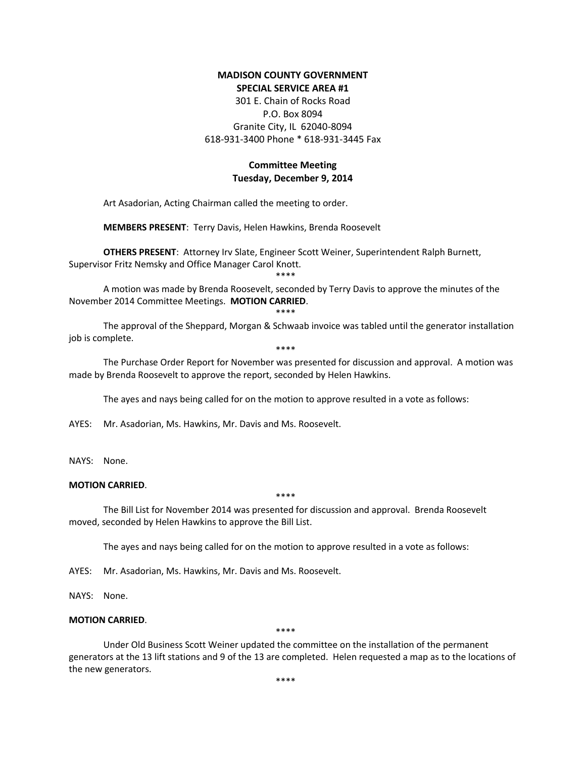## **MADISON COUNTY GOVERNMENT SPECIAL SERVICE AREA #1**

301 E. Chain of Rocks Road P.O. Box 8094 Granite City, IL 62040-8094 618-931-3400 Phone \* 618-931-3445 Fax

# **Committee Meeting Tuesday, December 9, 2014**

Art Asadorian, Acting Chairman called the meeting to order.

**MEMBERS PRESENT**: Terry Davis, Helen Hawkins, Brenda Roosevelt

**OTHERS PRESENT**: Attorney Irv Slate, Engineer Scott Weiner, Superintendent Ralph Burnett, Supervisor Fritz Nemsky and Office Manager Carol Knott.

\*\*\*\*

A motion was made by Brenda Roosevelt, seconded by Terry Davis to approve the minutes of the November 2014 Committee Meetings. **MOTION CARRIED**.

#### \*\*\*\*

The approval of the Sheppard, Morgan & Schwaab invoice was tabled until the generator installation job is complete.

\*\*\*\*

The Purchase Order Report for November was presented for discussion and approval. A motion was made by Brenda Roosevelt to approve the report, seconded by Helen Hawkins.

The ayes and nays being called for on the motion to approve resulted in a vote as follows:

AYES: Mr. Asadorian, Ms. Hawkins, Mr. Davis and Ms. Roosevelt.

NAYS: None.

## **MOTION CARRIED**.

\*\*\*\*

The Bill List for November 2014 was presented for discussion and approval. Brenda Roosevelt moved, seconded by Helen Hawkins to approve the Bill List.

The ayes and nays being called for on the motion to approve resulted in a vote as follows:

AYES: Mr. Asadorian, Ms. Hawkins, Mr. Davis and Ms. Roosevelt.

NAYS: None.

### **MOTION CARRIED**.

\*\*\*\*

Under Old Business Scott Weiner updated the committee on the installation of the permanent generators at the 13 lift stations and 9 of the 13 are completed. Helen requested a map as to the locations of the new generators.